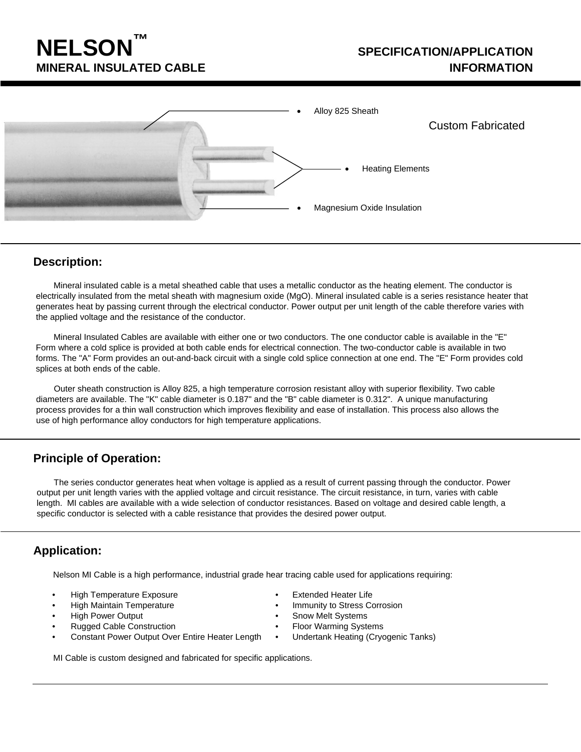# **NELSON™**

### **SPECIFICATION/APPLICATION MINERAL INSULATED CABLE INFORMATION**



#### **Description:**

Mineral insulated cable is a metal sheathed cable that uses a metallic conductor as the heating element. The conductor is electrically insulated from the metal sheath with magnesium oxide (MgO). Mineral insulated cable is a series resistance heater that generates heat by passing current through the electrical conductor. Power output per unit length of the cable therefore varies with the applied voltage and the resistance of the conductor.

Mineral Insulated Cables are available with either one or two conductors. The one conductor cable is available in the "E" Form where a cold splice is provided at both cable ends for electrical connection. The two-conductor cable is available in two forms. The "A" Form provides an out-and-back circuit with a single cold splice connection at one end. The "E" Form provides cold splices at both ends of the cable.

Outer sheath construction is Alloy 825, a high temperature corrosion resistant alloy with superior flexibility. Two cable diameters are available. The "K" cable diameter is 0.187" and the "B" cable diameter is 0.312". A unique manufacturing process provides for a thin wall construction which improves flexibility and ease of installation. This process also allows the use of high performance alloy conductors for high temperature applications.

### **Principle of Operation:**

The series conductor generates heat when voltage is applied as a result of current passing through the conductor. Power output per unit length varies with the applied voltage and circuit resistance. The circuit resistance, in turn, varies with cable length. MI cables are available with a wide selection of conductor resistances. Based on voltage and desired cable length, a specific conductor is selected with a cable resistance that provides the desired power output.

## **Application:**

Nelson MI Cable is a high performance, industrial grade hear tracing cable used for applications requiring:

- High Temperature Exposure Extended Heater Life
- 
- 
- Rugged Cable Construction Floor Warming Systems
- Constant Power Output Over Entire Heater Length Undertank Heating (Cryogenic Tanks)
- 
- High Maintain Temperature Immunity to Stress Corrosion
- High Power Output Snow Melt Systems
	-
	-

MI Cable is custom designed and fabricated for specific applications.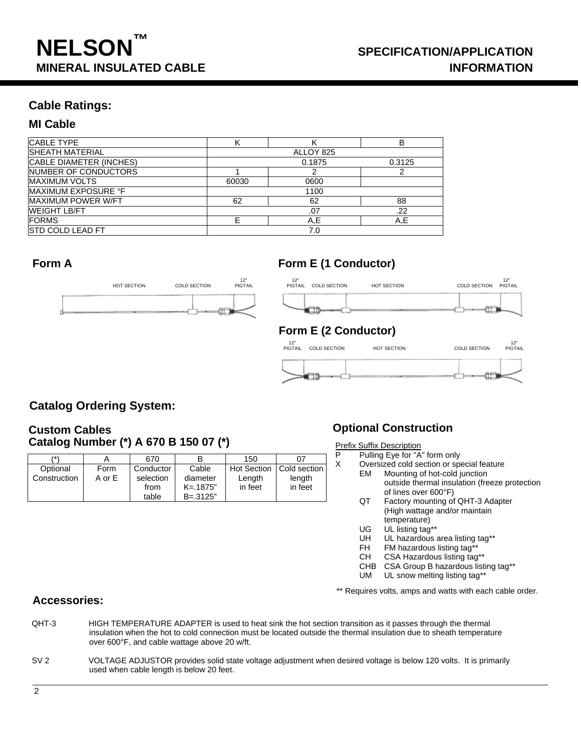#### **Cable Ratings:**

#### **MI Cable**

| <b>CABLE TYPE</b>            |       |           | в      |  |
|------------------------------|-------|-----------|--------|--|
| <b>SHEATH MATERIAL</b>       |       | ALLOY 825 |        |  |
| CABLE DIAMETER (INCHES)      |       | 0.1875    | 0.3125 |  |
| <b>INUMBER OF CONDUCTORS</b> |       |           |        |  |
| <b>MAXIMUM VOLTS</b>         | 60030 | 0600      |        |  |
| <b>MAXIMUM EXPOSURE °F</b>   |       | 1100      |        |  |
| <b>MAXIMUM POWER W/FT</b>    | 62    | 62        | 88     |  |
| <b>WEIGHT LB/FT</b>          |       | .07       | .22    |  |
| <b>FORMS</b>                 |       | A,E       | A,E    |  |
| <b>STD COLD LEAD FT</b>      |       | 7.0       |        |  |



# Form A Form E (1 Conductor)



### **Catalog Ordering System:**

#### **Custom Cables Catalog Number (\*) A 670 B 150 07 (\*)**

| /*           |        | 670       |              | 150                | 07           |
|--------------|--------|-----------|--------------|--------------------|--------------|
| Optional     | Form   | Conductor | Cable        | <b>Hot Section</b> | Cold section |
| Construction | A or E | selection | diameter     | Lenath             | length       |
|              |        | from      | K=.1875"     | in feet            | in feet      |
|              |        | table     | $B = .3125"$ |                    |              |

### **Optional Construction**

| P |      | <b>Prefix Suffix Description</b><br>Pulling Eye for "A" form only     |
|---|------|-----------------------------------------------------------------------|
| X |      | Oversized cold section or special feature                             |
|   | EM   | Mounting of hot-cold junction                                         |
|   |      | outside thermal insulation (freeze protection<br>of lines over 600°F) |
|   | QT   | Factory mounting of QHT-3 Adapter                                     |
|   |      | (High wattage and/or maintain                                         |
|   |      | temperature)                                                          |
|   | UG   | UL listing tag**                                                      |
|   | UH   | UL hazardous area listing tag**                                       |
|   | FH - | FM hazardous listing tag**                                            |
|   | CH.  | CSA Hazardous listing tag**                                           |
|   | CHB  | CSA Group B hazardous listing tag**                                   |
|   | UM   | UL snow melting listing tag**                                         |
|   |      | Requires volts, amps and watts with each cable order.                 |

#### **Accessories:**

- QHT-3 HIGH TEMPERATURE ADAPTER is used to heat sink the hot section transition as it passes through the thermal insulation when the hot to cold connection must be located outside the thermal insulation due to sheath temperature over 600°F, and cable wattage above 20 w/ft.
- SV 2 VOLTAGE ADJUSTOR provides solid state voltage adjustment when desired voltage is below 120 volts. It is primarily used when cable length is below 20 feet.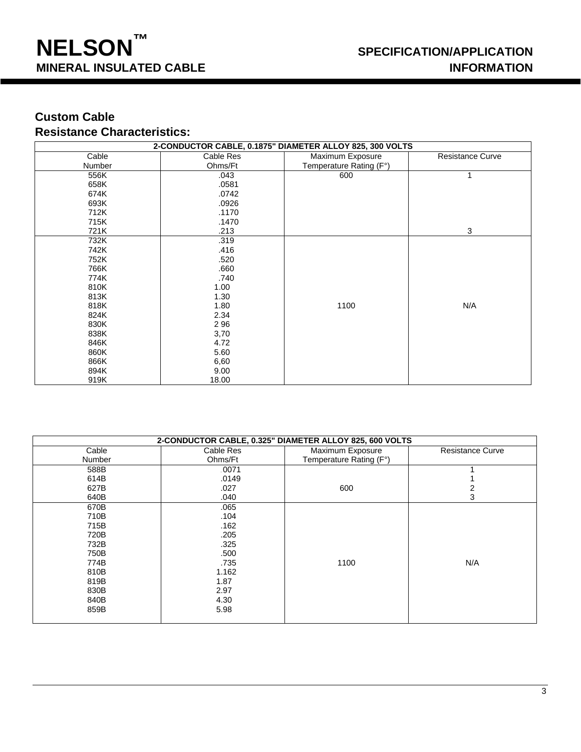### **Custom Cable Resistance Characteristics:**

| 2-CONDUCTOR CABLE, 0.1875" DIAMETER ALLOY 825, 300 VOLTS |           |                         |                         |  |
|----------------------------------------------------------|-----------|-------------------------|-------------------------|--|
| Cable                                                    | Cable Res | Maximum Exposure        | <b>Resistance Curve</b> |  |
| Number                                                   | Ohms/Ft   | Temperature Rating (F°) |                         |  |
| 556K                                                     | .043      | 600                     | 1                       |  |
| 658K                                                     | .0581     |                         |                         |  |
| 674K                                                     | .0742     |                         |                         |  |
| 693K                                                     | .0926     |                         |                         |  |
| 712K                                                     | .1170     |                         |                         |  |
| 715K                                                     | .1470     |                         |                         |  |
| 721K                                                     | .213      |                         | 3                       |  |
| 732K                                                     | .319      |                         |                         |  |
| 742K                                                     | .416      |                         |                         |  |
| 752K                                                     | .520      |                         |                         |  |
| 766K                                                     | .660      |                         |                         |  |
| 774K                                                     | .740      |                         |                         |  |
| 810K                                                     | 1.00      |                         |                         |  |
| 813K                                                     | 1.30      |                         |                         |  |
| 818K                                                     | 1.80      | 1100                    | N/A                     |  |
| 824K                                                     | 2.34      |                         |                         |  |
| 830K                                                     | 296       |                         |                         |  |
| 838K                                                     | 3,70      |                         |                         |  |
| 846K                                                     | 4.72      |                         |                         |  |
| 860K                                                     | 5.60      |                         |                         |  |
| 866K                                                     | 6,60      |                         |                         |  |
| 894K                                                     | 9.00      |                         |                         |  |
| 919K                                                     | 18.00     |                         |                         |  |

| 2-CONDUCTOR CABLE, 0.325" DIAMETER ALLOY 825, 600 VOLTS |           |                         |                         |  |
|---------------------------------------------------------|-----------|-------------------------|-------------------------|--|
| Cable                                                   | Cable Res | Maximum Exposure        | <b>Resistance Curve</b> |  |
| Number                                                  | Ohms/Ft   | Temperature Rating (F°) |                         |  |
| 588B                                                    | .0071     |                         |                         |  |
| 614B                                                    | .0149     |                         |                         |  |
| 627B                                                    | .027      | 600                     |                         |  |
| 640B                                                    | .040      |                         | 3                       |  |
| 670B                                                    | .065      |                         |                         |  |
| 710B                                                    | .104      |                         |                         |  |
| 715B                                                    | .162      |                         |                         |  |
| 720B                                                    | .205      |                         |                         |  |
| 732B                                                    | .325      |                         |                         |  |
| 750B                                                    | .500      |                         |                         |  |
| 774B                                                    | .735      | 1100                    | N/A                     |  |
| 810B                                                    | 1.162     |                         |                         |  |
| 819B                                                    | 1.87      |                         |                         |  |
| 830B                                                    | 2.97      |                         |                         |  |
| 840B                                                    | 4.30      |                         |                         |  |
| 859B                                                    | 5.98      |                         |                         |  |
|                                                         |           |                         |                         |  |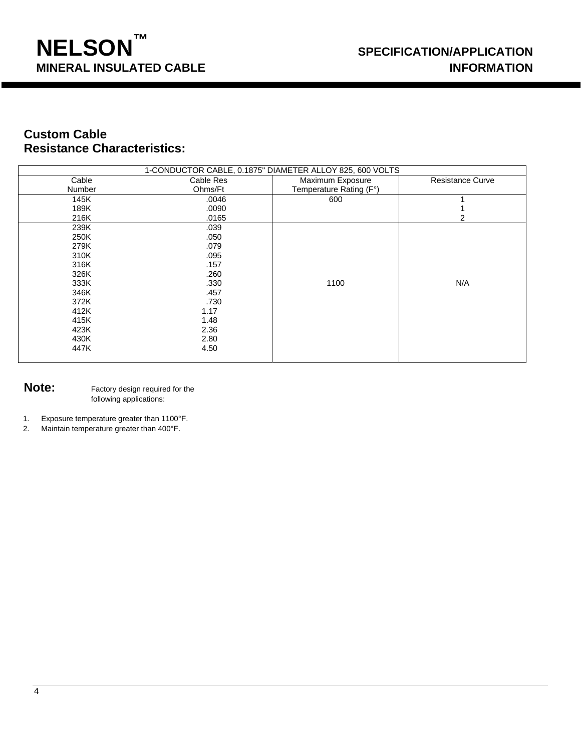## **Custom Cable Resistance Characteristics:**

| 1-CONDUCTOR CABLE, 0.1875" DIAMETER ALLOY 825, 600 VOLTS |           |                         |                         |  |
|----------------------------------------------------------|-----------|-------------------------|-------------------------|--|
| Cable                                                    | Cable Res | Maximum Exposure        | <b>Resistance Curve</b> |  |
| <b>Number</b>                                            | Ohms/Ft   | Temperature Rating (F°) |                         |  |
| 145K                                                     | .0046     | 600                     |                         |  |
| 189K                                                     | .0090     |                         |                         |  |
| 216K                                                     | .0165     |                         | 2                       |  |
| 239K                                                     | .039      |                         |                         |  |
| 250K                                                     | .050      |                         |                         |  |
| 279K                                                     | .079      |                         |                         |  |
| 310K                                                     | .095      |                         |                         |  |
| 316K                                                     | .157      |                         |                         |  |
| 326K                                                     | .260      |                         |                         |  |
| 333K                                                     | .330      | 1100                    | N/A                     |  |
| 346K                                                     | .457      |                         |                         |  |
| 372K                                                     | .730      |                         |                         |  |
| 412K                                                     | 1.17      |                         |                         |  |
| 415K                                                     | 1.48      |                         |                         |  |
| 423K                                                     | 2.36      |                         |                         |  |
| 430K                                                     | 2.80      |                         |                         |  |
| 447K                                                     | 4.50      |                         |                         |  |
|                                                          |           |                         |                         |  |

**Note:** Factory design required for the following applications:

1. Exposure temperature greater than 1100°F.

2. Maintain temperature greater than 400°F.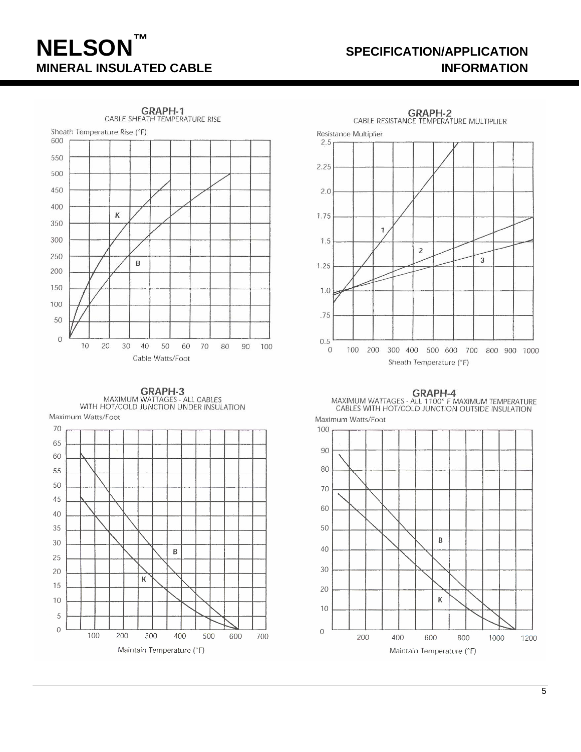# **NELSON™**

## **SPECIFICATION/APPLICATION MINERAL INSULATED CABLE INFORMATION**



GRAPH-3<br>MAXIMUM WATTAGES - ALL CABLES<br>WITH HOT/COLD JUNCTION UNDER INSULATION Maximum Watts/Foot







**GRAPH-4**<br>MAXIMUM WATTAGES - ALL 1100° F MAXIMUM TEMPERATURE<br>CABLES WITH HOT/COLD JUNCTION OUTSIDE INSULATION Maximum Watts/Foot

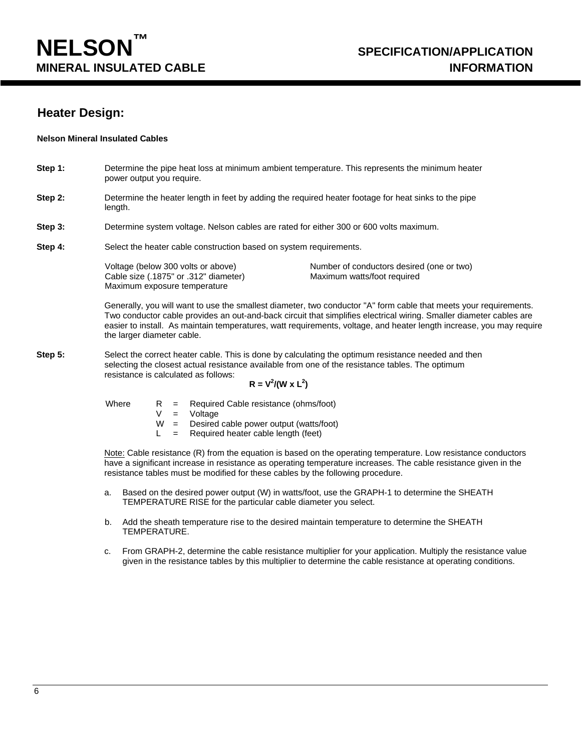### **Heater Design:**

#### **Nelson Mineral Insulated Cables**

- **Step 1:** Determine the pipe heat loss at minimum ambient temperature. This represents the minimum heater power output you require.
- **Step 2:** Determine the heater length in feet by adding the required heater footage for heat sinks to the pipe length.
- **Step 3:** Determine system voltage. Nelson cables are rated for either 300 or 600 volts maximum.
- **Step 4:** Select the heater cable construction based on system requirements.

Cable size (.1875" or .312" diameter) Maximum watts/foot required Maximum exposure temperature

Voltage (below 300 volts or above) Number of conductors desired (one or two)

Generally, you will want to use the smallest diameter, two conductor "A" form cable that meets your requirements. Two conductor cable provides an out-and-back circuit that simplifies electrical wiring. Smaller diameter cables are easier to install. As maintain temperatures, watt requirements, voltage, and heater length increase, you may require the larger diameter cable.

**Step 5:** Select the correct heater cable. This is done by calculating the optimum resistance needed and then selecting the closest actual resistance available from one of the resistance tables. The optimum resistance is calculated as follows:

#### $R = V^2/(W \times L^2)$

Where  $R = \text{Required}$  Cable resistance (ohms/foot)

- V = Voltage
	- W = Desired cable power output (watts/foot)
	- $L =$  Required heater cable length (feet)

Note: Cable resistance (R) from the equation is based on the operating temperature. Low resistance conductors have a significant increase in resistance as operating temperature increases. The cable resistance given in the resistance tables must be modified for these cables by the following procedure.

- a. Based on the desired power output (W) in watts/foot, use the GRAPH-1 to determine the SHEATH TEMPERATURE RISE for the particular cable diameter you select.
- b. Add the sheath temperature rise to the desired maintain temperature to determine the SHEATH TEMPERATURE.
- c. From GRAPH-2, determine the cable resistance multiplier for your application. Multiply the resistance value given in the resistance tables by this multiplier to determine the cable resistance at operating conditions.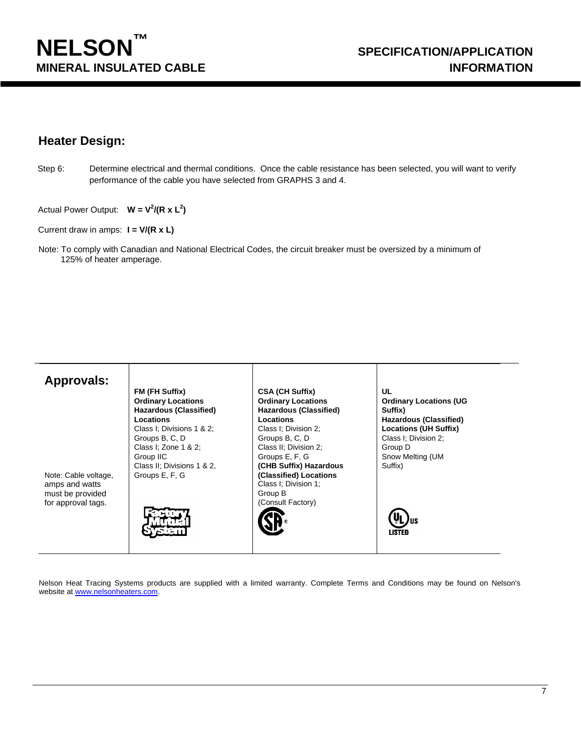### **Heater Design:**

Step 6: Determine electrical and thermal conditions. Once the cable resistance has been selected, you will want to verify performance of the cable you have selected from GRAPHS 3 and 4.

Actual Power Output:  $W = V^2/(R \times L^2)$ 

Current draw in amps: **I = V/(R x L)**

Note: To comply with Canadian and National Electrical Codes, the circuit breaker must be oversized by a minimum of 125% of heater amperage.

| <b>Approvals:</b><br>Note: Cable voltage,<br>amps and watts<br>must be provided<br>for approval tags. | FM (FH Suffix)<br><b>Ordinary Locations</b><br><b>Hazardous (Classified)</b><br>Locations<br>Class I: Divisions 1 & 2:<br>Groups B, C, D<br>Class I: Zone 1 & 2:<br>Group IIC<br>Class II; Divisions 1 & 2,<br>Groups E, F, G | <b>CSA (CH Suffix)</b><br><b>Ordinary Locations</b><br><b>Hazardous (Classified)</b><br>Locations<br>Class I; Division 2;<br>Groups B, C, D<br>Class II; Division 2;<br>Groups E, F, G<br>(CHB Suffix) Hazardous<br>(Classified) Locations<br>Class I; Division 1;<br>Group B<br>(Consult Factory) | UL<br><b>Ordinary Locations (UG</b><br>Suffix)<br><b>Hazardous (Classified)</b><br><b>Locations (UH Suffix)</b><br>Class I; Division 2;<br>Group D<br>Snow Melting (UM<br>Suffix)<br><b>VL Jus</b> |  |
|-------------------------------------------------------------------------------------------------------|-------------------------------------------------------------------------------------------------------------------------------------------------------------------------------------------------------------------------------|----------------------------------------------------------------------------------------------------------------------------------------------------------------------------------------------------------------------------------------------------------------------------------------------------|----------------------------------------------------------------------------------------------------------------------------------------------------------------------------------------------------|--|
|                                                                                                       |                                                                                                                                                                                                                               |                                                                                                                                                                                                                                                                                                    | <b>LISTED</b>                                                                                                                                                                                      |  |

Nelson Heat Tracing Systems products are supplied with a limited warranty. Complete Terms and Conditions may be found on Nelson's website at www.nelsonheaters.com.